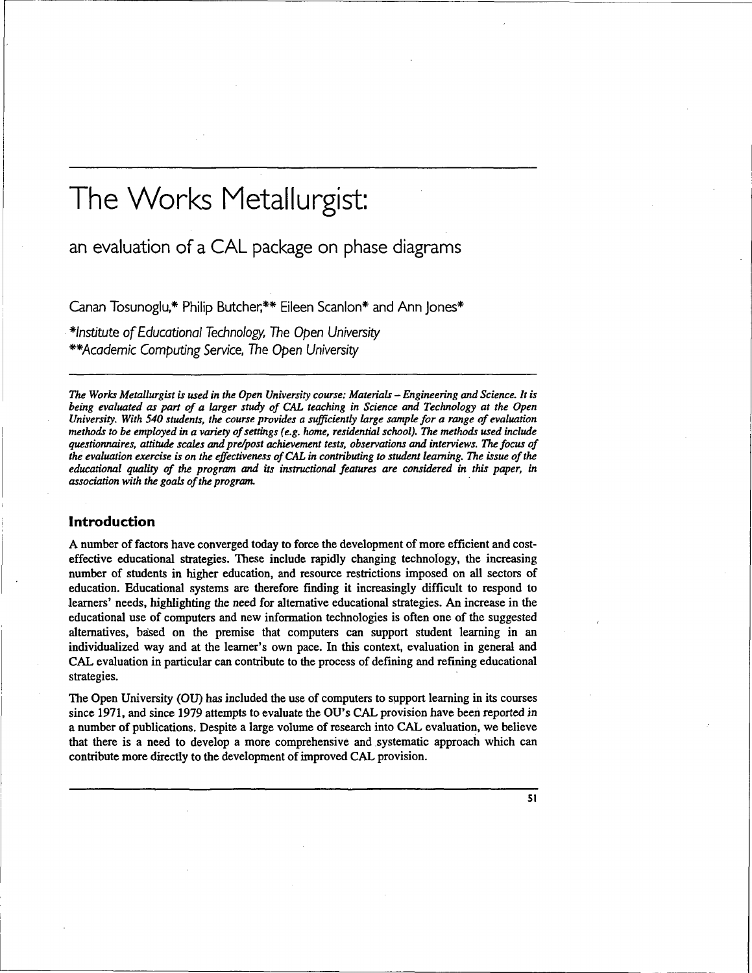# The Works Metallurgist:

an evaluation of a CAL package on phase diagrams

Canan Tosunoglu,\* Philip Butcher;\*\* Eileen Scanlon\* and Ann Jones\*

institute of Educational Technology, The Open University \*\*Academic Computing Service, The Open University

*The Works Metallurgist is used in the Open University course: Materials* — *Engineering and Science. It is being evaluated as part of a larger study of CAL teaching in Science and Technology at the Open University. With 540 students, the course provides a sufficiently large sample for a range of evaluation methods to be employed in a variety of settings (e.g. home, residential school). The methods used include questionnaires, attitude scales and pre/post achievement tests, observations and interviews. The focus of the evaluation exercise is on the effectiveness of CAL in contributing to student learning. The issue of the educational quality of the program and its instructional features are considered in this paper, in association with the goals of the program.*

## **Introduction**

A number of factors have converged today to force the development of more efficient and costeffective educational strategies. These include rapidly changing technology, the increasing number of students in higher education, and resource restrictions imposed on all sectors of education. Educational systems are therefore finding it increasingly difficult to respond to learners' needs, highlighting the need for alternative educational strategies. An increase in the educational use of computers and new information technologies is often one of the suggested alternatives, baised on the premise that computers can support student learning in an individualized way and at the learner's own pace. In this context, evaluation in general and CAL evaluation in particular can contribute to the process of defining and refining educational strategies.

The Open University (OU) has included the use of computers to support learning in its courses since 1971, and since 1979 attempts to evaluate the OU's CAL provision have been reported in a number of publications. Despite a large volume of research into CAL evaluation, we believe that there is a need to develop a more comprehensive and systematic approach which can contribute more directly to the development of improved CAL provision.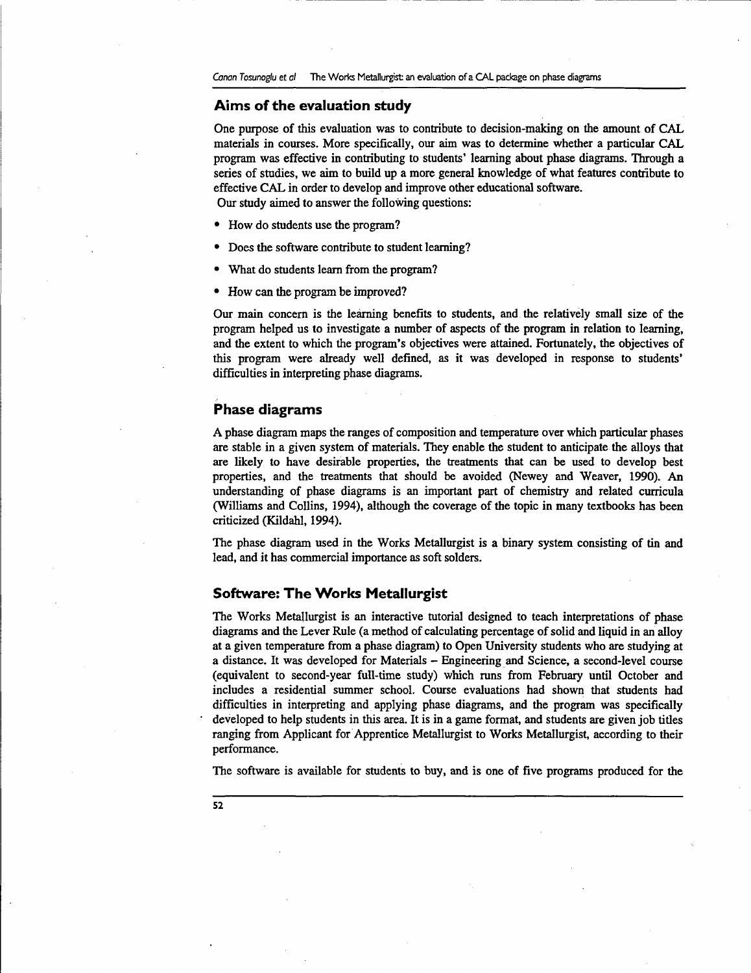## **Aims of the evaluation study**

One purpose of this evaluation was to contribute to decision-making on the amount of CAL materials in courses. More specifically, our aim was to determine whether a particular CAL program was effective in contributing to students' learning about phase diagrams. Through a series of studies, we aim to build up a more general knowledge of what features contribute to effective CAL in order to develop and improve other educational software. Our study aimed to answer the following questions:

- How do students use the program?
- Does the software contribute to student learning?
- What do students learn from the program?
- How can the program be improved?

Our main concern is the learning benefits to students, and the relatively small size of the program helped us to investigate a number of aspects of the program in relation to learning, and the extent to which the program's objectives were attained. Fortunately, the objectives of this program were already well defined, as it was developed in response to students' difficulties in interpreting phase diagrams.

## **Phase diagrams**

A phase diagram maps the ranges of composition and temperature over which particular phases are stable in a given system of materials. They enable the student to anticipate the alloys that are likely to have desirable properties, the treatments that can be used to develop best properties, and the treatments that should be avoided (Newey and Weaver, 1990). An understanding of phase diagrams is an important part of chemistry and related curricula (Williams and Collins, 1994), although the coverage of the topic in many textbooks has been criticized (Kildahl, 1994).

The phase diagram used in the Works Metallurgist is a binary system consisting of tin and lead, and it has commercial importance as soft solders.

## **Software: The Works Metallurgist**

The Works Metallurgist is an interactive tutorial designed to teach interpretations of phase diagrams and the Lever Rule (a method of calculating percentage of solid and liquid in an alloy at a given temperature from a phase diagram) to Open University students who are studying at a distance. It was developed for Materials - Engineering and Science, a second-level course (equivalent to second-year full-time study) which runs from February until October and includes a residential summer school. Course evaluations had shown that students had difficulties in interpreting and applying phase diagrams, and the program was specifically developed to help students in this area. It is in a game format, and students are given job titles ranging from Applicant for Apprentice Metallurgist to Works Metallurgist, according to their performance.

The software is available for students to buy, and is one of five programs produced for the

**52**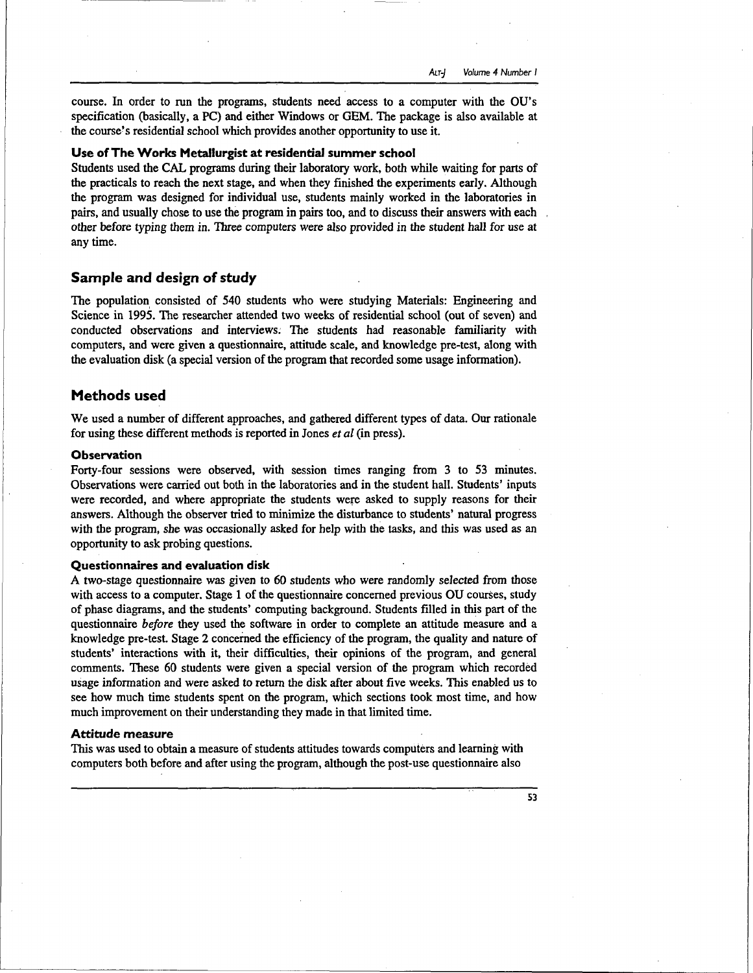course. In order to run the programs, students need access to a computer with the OU's specification (basically, a PC) and either Windows or GEM. The package is also available at the course's residential school which provides another opportunity to use it.

## **Use of The Works Metallurgist at residential summer school**

Students used the CAL programs during their laboratory work, both while waiting for parts of the practicals to reach the next stage, and when they finished the experiments early. Although the program was designed for individual use, students mainly worked in the laboratories in pairs, and usually chose to use the program in pairs too, and to discuss their answers with each other before typing them in. Three computers were also provided in the student hall for use at any time.

# **Sample and design of study**

The population consisted of 540 students who were studying Materials: Engineering and Science in 1995. The researcher attended two weeks of residential school (out of seven) and conducted observations and interviews; The students had reasonable familiarity with computers, and were given a questionnaire, attitude scale, and knowledge pre-test, along with the evaluation disk (a special version of the program that recorded some usage information).

# **Methods used**

We used a number of different approaches, and gathered different types of data. Our rationale for using these different methods is reported in Jones *et al* (in press).

# **Observation**

Forty-four sessions were observed, with session times ranging from 3 to 53 minutes. Observations were carried out both in the laboratories and in the student hall. Students' inputs were recorded, and where appropriate the students were asked to supply reasons for their answers. Although the observer tried to minimize the disturbance to students' natural progress with the program, she was occasionally asked for help with the tasks, and this was used as an opportunity to ask probing questions.

#### **Questionnaires and evaluation disk**

A two-stage questionnaire was given to 60 students who were randomly selected from those with access to a computer. Stage 1 of the questionnaire concerned previous OU courses, study of phase diagrams, and the students' computing background. Students filled in this part of the questionnaire *before* they used the software in order to complete an attitude measure and a knowledge pre-test. Stage 2 concerned the efficiency of the program, the quality and nature of students' interactions with it, their difficulties, their opinions of the program, and general comments. These 60 students were given a special version of the program which recorded usage information and were asked to return the disk after about five weeks. This enabled us to see how much time students spent on the program, which sections took most time, and how much improvement on their understanding they made in that limited time.

#### **Attitude measure**

This was used to obtain a measure of students attitudes towards computers and learning with computers both before and after using the program, although the post-use questionnaire also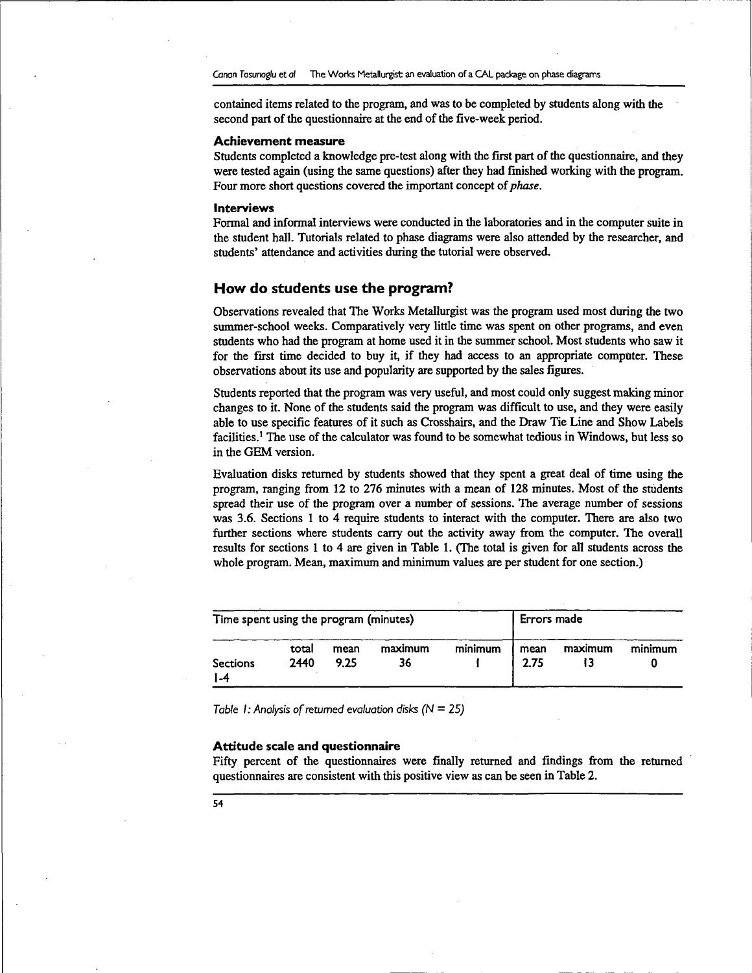contained items related to the program, and was to be completed by students along with the second part of the questionnaire at the end of the five-week period.

#### **Achievement measure**

Students completed a knowledge pre-test along with the first part of the questionnaire, and they were tested again (using the same questions) after they had finished working with the program. Four more short questions covered the important concept of *phase.*

#### **Interviews**

Formal and informal interviews were conducted in the laboratories and in the computer suite in the student hall. Tutorials related to phase diagrams were also attended by the researcher, and students' attendance and activities during the tutorial were observed.

## **How do students use the program?**

Observations revealed that The Works Metallurgist was the program used most during the two summer-school weeks. Comparatively very little time was spent on other programs, and even students who had the program at home used it in the summer school. Most students who saw it for the first time decided to buy it, if they had access to an appropriate computer. These observations about its use and popularity are supported by the sales figures.

Students reported that the program was very useful, and most could only suggest making minor changes to it. None of the students said the program was difficult to use, and they were easily able to use specific features of it such as Crosshairs, and the Draw Tie Line and Show Labels facilities.<sup>1</sup> The use of the calculator was found to be somewhat tedious in Windows, but less so in the GEM version.

Evaluation disks returned by students showed that they spent a great deal of time using the program, ranging from 12 to 276 minutes with a mean of 128 minutes. Most of the students spread their use of the program over a number of sessions. The average number of sessions was 3.6. Sections 1 to 4 require students to interact with the computer. There are also two further sections where students carry out the activity away from the computer. The overall results for sections 1 to 4 are given in Table 1. (The total is given for all students across the whole program. Mean, maximum and minimum values are per student for one section.)

| Time spent using the program (minutes) |               |              |               |         | Errors made  |         |         |  |
|----------------------------------------|---------------|--------------|---------------|---------|--------------|---------|---------|--|
| <b>Sections</b><br>4- ا                | total<br>2440 | mean<br>9.25 | maximum<br>36 | minimum | mean<br>2.75 | maximum | minimum |  |

Table 1: Analysis of returned evaluation disks ( $N = 25$ )

#### **Attitude scale and questionnaire**

Fifty percent of the questionnaires were finally returned and findings from the returned questionnaires are consistent with this positive view as can be seen in Table 2.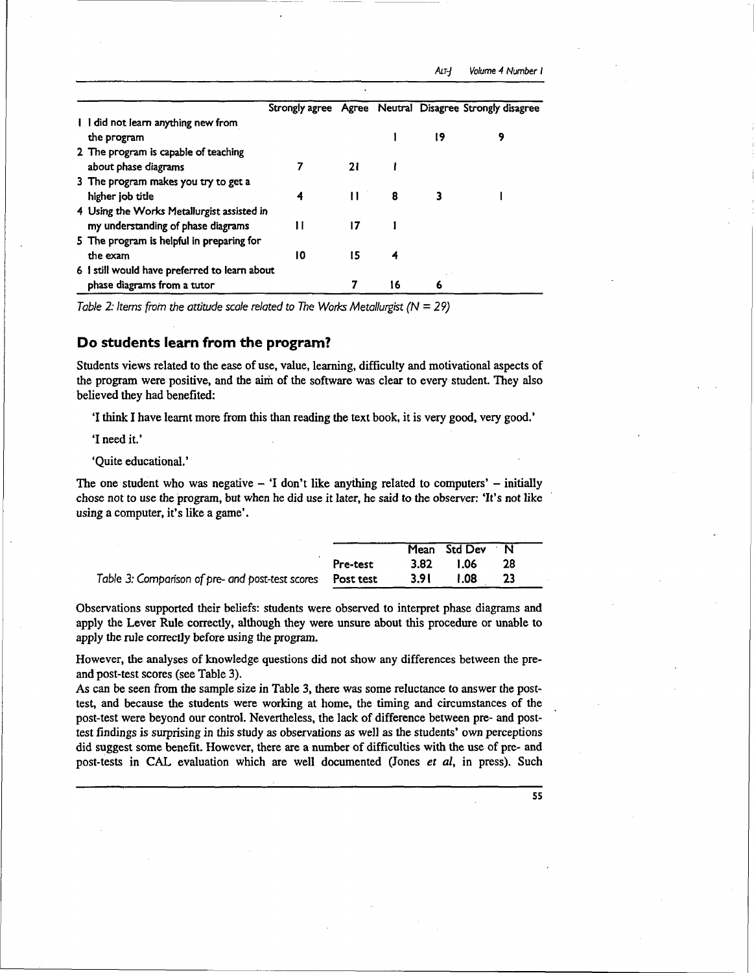|  |                                               |    |              |    |    | Strongly agree Agree Neutral Disagree Strongly disagree |
|--|-----------------------------------------------|----|--------------|----|----|---------------------------------------------------------|
|  | I I did not learn anything new from           |    |              |    |    |                                                         |
|  | the program                                   |    |              |    | 19 | 9                                                       |
|  | 2 The program is capable of teaching          |    |              |    |    |                                                         |
|  | about phase diagrams                          |    | 21           |    |    |                                                         |
|  | 3 The program makes you try to get a          |    |              |    |    |                                                         |
|  | higher job title                              | 4  | $\mathbf{H}$ | 8  |    |                                                         |
|  | 4 Using the Works Metallurgist assisted in    |    |              |    |    |                                                         |
|  | my understanding of phase diagrams            |    | 17           |    |    |                                                         |
|  | 5 The program is helpful in preparing for     |    |              |    |    |                                                         |
|  | the exam                                      | 10 | 15           | 4  |    |                                                         |
|  | 6 I still would have preferred to learn about |    |              |    |    |                                                         |
|  | phase diagrams from a tutor                   |    |              | 16 | 6  |                                                         |

Table 2: Items from the attitude scale related to The Works Metallurgist ( $N = 29$ )

# **Do students learn from the program?**

Students views related to the ease of use, value, learning, difficulty and motivational aspects of the program were positive, and the aim of the software was clear to every student. They also believed they had benefited:

'I think I have learnt more from this than reading the text book, it is very good, very good.'

'I need it.'

'Quite educational.'

The one student who was negative  $-$  'I don't like anything related to computers'  $-$  initially chose not to use the program, but when he did use it later, he said to the observer: 'It's not like using a computer, it's like a game'.

|                                                            |          |       | Mean Std Dev N |     |  |
|------------------------------------------------------------|----------|-------|----------------|-----|--|
|                                                            | Pre-test | 3.82  | <b>1.06</b>    | -28 |  |
| Table 3: Comparison of pre- and post-test scores Post test |          | 3.9 I | 1.08           |     |  |

Observations supported their beliefs: students were observed to interpret phase diagrams and apply the Lever Rule correctly, although they were unsure about this procedure or unable to apply the rule correctly before using the program.

However, the analyses of knowledge questions did not show any differences between the preand post-test scores (see Table 3).

As can be seen from the sample size in Table 3, there was some reluctance to answer the posttest, and because the students were working at home, the timing and circumstances of the post-test were beyond our control. Nevertheless, the lack of difference between pre- and posttest findings is surprising in this study as observations as well as the students' own perceptions did suggest some benefit. However, there are a number of difficulties with the use of pre- and post-tests in CAL evaluation which are well documented (Jones *et al,* in press). Such

**55**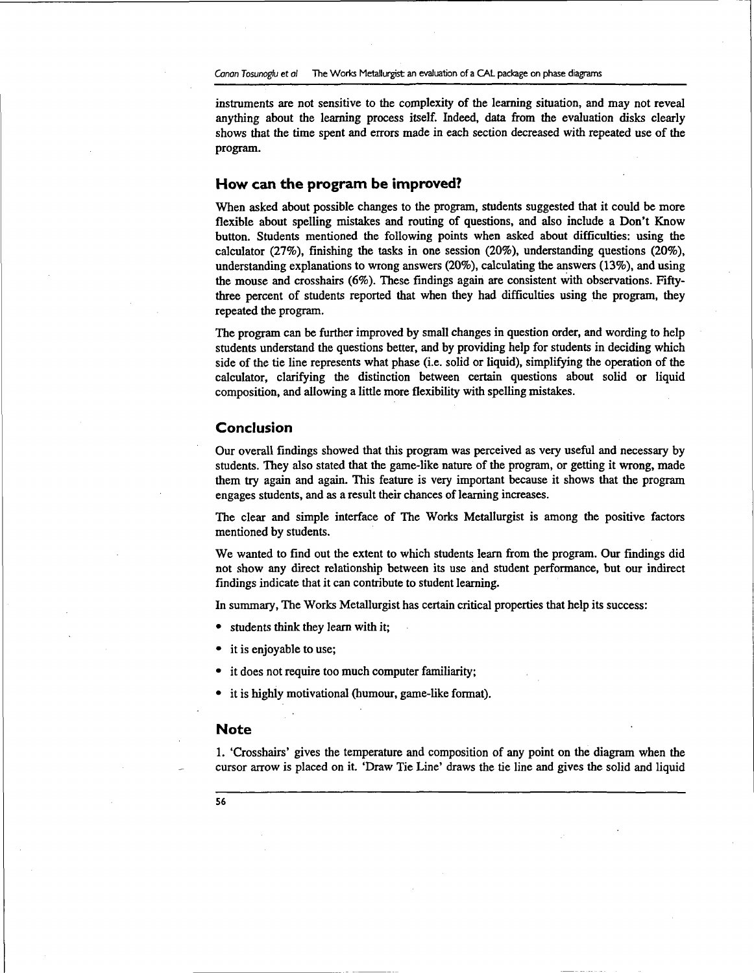instruments are not sensitive to the complexity of the learning situation, and may not reveal anything about the learning process itself. Indeed, data from the evaluation disks clearly shows that the time spent and errors made in each section decreased with repeated use of the program.

# **How can the program be improved?**

When asked about possible changes to the program, students suggested that it could be more flexible about spelling mistakes and routing of questions, and also include a Don't Know button. Students mentioned the following points when asked about difficulties: using the calculator (27%), finishing the tasks in one session (20%), understanding questions (20%), understanding explanations to wrong answers (20%), calculating the answers (13%), and using the mouse and crosshairs (6%). These findings again are consistent with observations. Fiftythree percent of students reported that when they had difficulties using the program, they repeated the program.

The program can be further improved by small changes in question order, and wording to help students understand the questions better, and by providing help for students in deciding which side of the tie line represents what phase (i.e. solid or liquid), simplifying the operation of the calculator, clarifying the distinction between certain questions about solid or liquid composition, and allowing a little more flexibility with spelling mistakes.

## **Conclusion**

Our overall findings showed that this program was perceived as very useful and necessary by students. They also stated that the game-like nature of the program, or getting it wrong, made them try again and again. This feature is very important because it shows that the program engages students, and as a result their chances of learning increases.

The clear and simple interface of The Works Metallurgist is among the positive factors mentioned by students.

We wanted to find out the extent to which students learn from the program. Our findings did not show any direct relationship between its use and student performance, but our indirect findings indicate that it can contribute to student learning.

In summary, The Works Metallurgist has certain critical properties that help its success:

- students think they learn with it;
- it is enjoyable to use;
- it does not require too much computer familiarity;
- it is highly motivational (humour, game-like format).

## **Note**

1. 'Crosshairs' gives the temperature and composition of any point on the diagram when the cursor arrow is placed on it. 'Draw Tie Line' draws the tie line and gives the solid and liquid

**56**